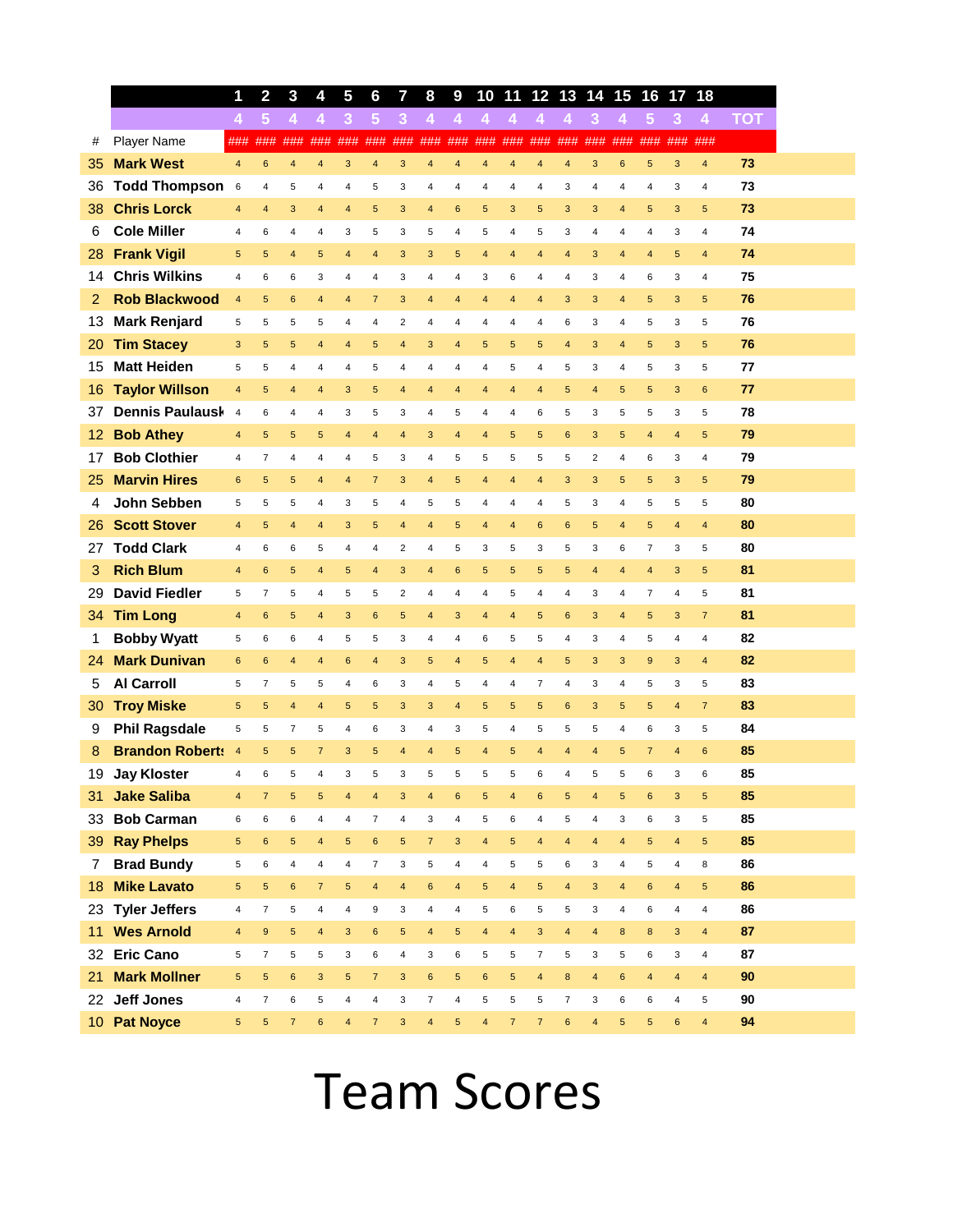|    |                        | 1                       | 2                | 3                       | 4                       | 5                       | 6                       | 7                       | 8                        | 9                | 10                      | 11                      | 12 <sub>2</sub>         |                         | 13 14 15                |                | 16                      | 17                      | 18                      |            |
|----|------------------------|-------------------------|------------------|-------------------------|-------------------------|-------------------------|-------------------------|-------------------------|--------------------------|------------------|-------------------------|-------------------------|-------------------------|-------------------------|-------------------------|----------------|-------------------------|-------------------------|-------------------------|------------|
|    |                        | $\overline{4}$          | $5\phantom{.0}$  | 4                       | $\overline{4}$          | 3                       | $5\phantom{.0}$         | $\overline{3}$          | $\overline{4}$           | 4                | $\overline{4}$          | $\overline{4}$          | 4                       | $\overline{4}$          | 3                       | 4              | $5\phantom{.0}$         | 3                       | $\overline{4}$          | <b>TOT</b> |
| #  | Player Name            | ###                     | ###              | ###                     | ###                     | ###                     | ###                     | ###                     | ###                      | ###              | ###                     | ###                     | ###                     | ###                     | ###                     | ###            | ###                     | ###                     | ###                     |            |
| 35 | <b>Mark West</b>       | $\overline{4}$          | $6\phantom{1}6$  | $\overline{\mathbf{4}}$ | $\overline{4}$          | $\mathbf{3}$            | 4                       | 3                       | $\overline{\mathbf{4}}$  | $\overline{4}$   | $\overline{4}$          | 4                       | $\overline{4}$          | $\overline{4}$          | $\mathsf 3$             | $\bf 6$        | 5                       | 3                       | $\overline{\mathbf{4}}$ | 73         |
| 36 | <b>Todd Thompson</b>   | $\,6\,$                 | $\overline{4}$   | 5                       | 4                       | 4                       | 5                       | 3                       | 4                        | $\overline{4}$   | 4                       | 4                       | $\overline{4}$          | 3                       | $\overline{4}$          | $\overline{4}$ | $\overline{4}$          | 3                       | 4                       | 73         |
| 38 | <b>Chris Lorck</b>     | 4                       | $\overline{4}$   | 3                       | $\overline{4}$          | 4                       | 5                       | 3                       | $\overline{\mathbf{4}}$  | $\,6\,$          | 5                       | 3                       | $\sqrt{5}$              | 3                       | 3                       | 4              | 5                       | 3                       | 5                       | 73         |
| 6  | <b>Cole Miller</b>     | 4                       | 6                | 4                       | 4                       | 3                       | 5                       | 3                       | 5                        | 4                | 5                       | 4                       | 5                       | 3                       | $\overline{4}$          | 4              | $\overline{4}$          | 3                       | 4                       | 74         |
| 28 | <b>Frank Vigil</b>     | 5                       | $5\phantom{.0}$  | 4                       | 5                       | $\overline{\mathbf{4}}$ | 4                       | 3                       | 3                        | 5                | $\overline{\mathbf{4}}$ | 4                       | $\overline{4}$          | $\overline{4}$          | 3                       | 4              | $\overline{4}$          | 5                       | 4                       | 74         |
| 14 | <b>Chris Wilkins</b>   | 4                       | 6                | 6                       | 3                       | 4                       | $\overline{4}$          | 3                       | 4                        | $\overline{4}$   | 3                       | 6                       | $\overline{4}$          | $\overline{4}$          | 3                       | 4              | 6                       | 3                       | 4                       | 75         |
| 2  | <b>Rob Blackwood</b>   | $\overline{4}$          | 5                | $6\phantom{1}$          | $\overline{4}$          | 4                       | $\overline{7}$          | 3                       | $\overline{4}$           | $\overline{4}$   | $\overline{4}$          | 4                       | $\overline{\mathbf{4}}$ | 3                       | 3                       | $\overline{4}$ | 5                       | 3                       | 5                       | 76         |
| 13 | <b>Mark Renjard</b>    | 5                       | 5                | 5                       | 5                       | 4                       | 4                       | $\overline{2}$          | 4                        | 4                | 4                       | 4                       | $\overline{4}$          | 6                       | 3                       | 4              | 5                       | 3                       | 5                       | 76         |
| 20 | <b>Tim Stacey</b>      | 3                       | 5                | 5                       | $\overline{\mathbf{4}}$ | $\overline{\mathbf{4}}$ | 5                       | $\overline{4}$          | 3                        | $\overline{4}$   | 5                       | 5                       | 5                       | $\overline{\mathbf{4}}$ | 3                       | $\overline{4}$ | 5                       | 3                       | 5                       | 76         |
| 15 | <b>Matt Heiden</b>     | 5                       | 5                | 4                       | 4                       | 4                       | 5                       | 4                       | 4                        | $\overline{4}$   | $\overline{4}$          | 5                       | 4                       | 5                       | 3                       | 4              | 5                       | 3                       | 5                       | 77         |
| 16 | <b>Taylor Willson</b>  | 4                       | 5                | $\overline{4}$          | $\overline{\mathbf{4}}$ | 3                       | 5                       | $\overline{4}$          | 4                        | $\overline{4}$   | $\overline{\mathbf{4}}$ | 4                       | $\overline{4}$          | 5                       | $\overline{\mathbf{4}}$ | $\sqrt{5}$     | $\overline{5}$          | 3                       | $6\phantom{a}$          | 77         |
| 37 | Dennis Paulausk        | $\overline{4}$          | 6                | $\overline{4}$          | $\overline{4}$          | 3                       | 5                       | 3                       | 4                        | 5                | 4                       | 4                       | 6                       | 5                       | 3                       | 5              | 5                       | 3                       | 5                       | 78         |
| 12 | <b>Bob Athey</b>       | 4                       | $5\phantom{.0}$  | $\overline{5}$          | 5                       | 4                       | $\overline{4}$          | $\overline{4}$          | 3                        | $\overline{4}$   | $\overline{4}$          | 5                       | $5\phantom{.0}$         | $6\phantom{a}$          | 3                       | $\overline{5}$ | $\overline{4}$          | $\overline{4}$          | 5                       | 79         |
| 17 | <b>Bob Clothier</b>    | 4                       | $\overline{7}$   | 4                       | 4                       | 4                       | 5                       | 3                       | 4                        | 5                | 5                       | 5                       | 5                       | 5                       | $\overline{2}$          | $\overline{4}$ | 6                       | 3                       | 4                       | 79         |
| 25 | <b>Marvin Hires</b>    | $6\phantom{1}$          | $5\phantom{.0}$  | 5                       | $\overline{\mathbf{4}}$ | $\overline{\mathbf{4}}$ | $\overline{7}$          | 3                       | $\overline{\mathbf{4}}$  | $\sqrt{5}$       | $\overline{\mathbf{4}}$ | $\overline{\mathbf{4}}$ | $\overline{4}$          | 3                       | 3                       | $\sqrt{5}$     | 5                       | 3                       | 5                       | 79         |
| 4  | John Sebben            | 5                       | 5                | 5                       | 4                       | 3                       | 5                       | $\overline{4}$          | 5                        | 5                | 4                       | 4                       | $\overline{4}$          | 5                       | 3                       | 4              | $\sqrt{5}$              | 5                       | 5                       | 80         |
| 26 | <b>Scott Stover</b>    | 4                       | $5\phantom{.0}$  | $\overline{4}$          | $\overline{4}$          | 3                       | 5                       | $\overline{4}$          | $\overline{4}$           | 5                | $\overline{4}$          | 4                       | 6                       | 6                       | 5                       | 4              | 5                       | $\overline{4}$          | $\overline{4}$          | 80         |
| 27 | <b>Todd Clark</b>      | 4                       | 6                | 6                       | 5                       | 4                       | 4                       | $\overline{2}$          | 4                        | 5                | 3                       | 5                       | 3                       | 5                       | 3                       | 6              | $\overline{7}$          | 3                       | 5                       | 80         |
| 3  | <b>Rich Blum</b>       | $\overline{\mathbf{4}}$ | $6\phantom{1}6$  | 5                       | $\overline{4}$          | 5                       | 4                       | 3                       | $\overline{\mathbf{4}}$  | $\,6\,$          | 5                       | 5                       | $\sqrt{5}$              | 5                       | $\overline{\mathbf{4}}$ | 4              | $\overline{4}$          | 3                       | 5                       | 81         |
| 29 | <b>David Fiedler</b>   | 5                       | $\overline{7}$   | 5                       | 4                       | 5                       | 5                       | $\overline{2}$          | 4                        | $\overline{4}$   | $\overline{4}$          | 5                       | $\overline{4}$          | 4                       | 3                       | 4              | $\overline{7}$          | $\overline{4}$          | 5                       | 81         |
| 34 | <b>Tim Long</b>        | 4                       | $6\phantom{1}6$  | 5                       | $\overline{\mathbf{4}}$ | 3                       | 6                       | $\overline{5}$          | $\overline{\mathbf{4}}$  | 3                | $\overline{4}$          | $\overline{\mathbf{4}}$ | 5                       | $6\phantom{a}$          | 3                       | $\overline{4}$ | $5\phantom{.0}$         | 3                       | $\overline{7}$          | 81         |
| 1  | <b>Bobby Wyatt</b>     | 5                       | 6                | 6                       | 4                       | 5                       | 5                       | 3                       | 4                        | $\overline{4}$   | 6                       | 5                       | 5                       | $\overline{4}$          | 3                       | 4              | 5                       | $\overline{\mathbf{4}}$ | 4                       | 82         |
| 24 | <b>Mark Dunivan</b>    | $6\phantom{1}$          | $6\phantom{1}$   | $\overline{4}$          | $\overline{\mathbf{4}}$ | 6                       | $\overline{4}$          | 3                       | 5                        | $\overline{4}$   | 5                       | 4                       | $\overline{4}$          | 5                       | 3                       | $\mathsf 3$    | 9                       | 3                       | $\overline{4}$          | 82         |
| 5  | <b>Al Carroll</b>      | 5                       | $\overline{7}$   | 5                       | 5                       | 4                       | 6                       | 3                       | 4                        | 5                | 4                       | 4                       | $\overline{7}$          | $\overline{4}$          | 3                       | 4              | 5                       | 3                       | 5                       | 83         |
| 30 | <b>Troy Miske</b>      | 5                       | $\sqrt{5}$       | $\overline{4}$          | $\overline{\mathbf{4}}$ | 5                       | $\sqrt{5}$              | 3                       | 3                        | $\overline{4}$   | 5                       | 5                       | $\sqrt{5}$              | $6\phantom{a}$          | $\mathsf 3$             | 5              | 5                       | $\overline{4}$          | $\overline{7}$          | 83         |
| 9  | <b>Phil Ragsdale</b>   | 5                       | 5                | $\overline{7}$          | 5                       | 4                       | 6                       | 3                       | 4                        | 3                | 5                       | $\overline{4}$          | 5                       | 5                       | 5                       | 4              | 6                       | 3                       | 5                       | 84         |
| 8  | <b>Brandon Roberts</b> | $\overline{4}$          | 5                | 5                       | $\overline{7}$          | 3                       | 5                       | $\overline{4}$          | $\overline{4}$           | 5                | $\overline{4}$          | 5                       | $\overline{4}$          | 4                       | $\overline{4}$          | 5              | $\overline{7}$          | $\overline{4}$          | $6\phantom{a}$          | 85         |
| 19 | <b>Jay Kloster</b>     | 4                       | 6                | 5                       | 4                       | 3                       | 5                       | 3                       | 5                        | 5                | 5                       | 5                       | 6                       | 4                       | 5                       | 5              | 6                       | 3                       | 6                       | 85         |
| 31 | <b>Jake Saliba</b>     | 4                       | $\overline{7}$   | $\sqrt{5}$              | 5                       | 4                       | 4                       | 3                       | 4                        | $\boldsymbol{6}$ | 5                       | 4                       | $\bf 6$                 | 5                       | 4                       | $\sqrt{5}$     | $6\phantom{1}$          | 3                       | 5                       | 85         |
| 33 | <b>Bob Carman</b>      | 6                       | 6                | 6                       | 4                       | $\overline{\mathbf{4}}$ | $\overline{7}$          | $\pmb{4}$               | 3                        | $\pmb{4}$        | 5                       | 6                       | $\pmb{4}$               | 5                       | 4                       | 3              | 6                       | 3                       | 5                       | 85         |
| 39 | <b>Ray Phelps</b>      | 5                       | $\bf 6$          | $\sqrt{5}$              | $\overline{\mathbf{4}}$ | $\sqrt{5}$              | $\bf 6$                 | $\sqrt{5}$              | $\overline{7}$           | $\mathsf 3$      | $\overline{4}$          | 5                       | $\overline{4}$          | $\overline{\mathbf{4}}$ | $\overline{\mathbf{4}}$ | $\overline{4}$ | $\sqrt{5}$              | $\overline{\mathbf{4}}$ | 5                       | 85         |
| 7  | <b>Brad Bundy</b>      | 5                       | 6                | 4                       | 4                       | $\overline{\mathbf{4}}$ | $\overline{7}$          | 3                       | 5                        | 4                | 4                       | 5                       | 5                       | 6                       | 3                       | 4              | $\,$ 5 $\,$             | 4                       | 8                       | 86         |
| 18 | <b>Mike Lavato</b>     | $\overline{5}$          | $\sqrt{5}$       | 6                       | $\overline{7}$          | $\sqrt{5}$              | $\overline{\mathbf{4}}$ | $\overline{\mathbf{4}}$ | 6                        | $\overline{4}$   | $5\phantom{.0}$         | $\overline{\mathbf{4}}$ | $5\phantom{.0}$         | $\overline{4}$          | $\mathbf{3}$            | $\overline{4}$ | $\mathbf 6$             | $\overline{\mathbf{4}}$ | $\overline{5}$          | 86         |
| 23 | <b>Tyler Jeffers</b>   | 4                       | $\overline{7}$   | 5                       | $\pmb{4}$               | 4                       | 9                       | 3                       | 4                        | 4                | 5                       | 6                       | 5                       | 5                       | 3                       | 4              | 6                       | 4                       | 4                       | 86         |
| 11 | <b>Wes Arnold</b>      | 4                       | $\boldsymbol{9}$ | $\overline{5}$          | $\overline{\mathbf{4}}$ | 3                       | $\bf 6$                 | $5\overline{)}$         | 4                        | $\sqrt{5}$       | $\overline{\mathbf{4}}$ | $\overline{\mathbf{4}}$ | $\mathbf{3}$            | $\overline{4}$          | $\overline{4}$          | 8              | $\bf8$                  | 3                       | 4                       | 87         |
| 32 | <b>Eric Cano</b>       | 5                       | $\overline{7}$   | 5                       | 5                       | 3                       | 6                       | $\pmb{4}$               | 3                        | $\,6\,$          | 5                       | 5                       | $\overline{7}$          | 5                       | 3                       | 5              | 6                       | 3                       | 4                       | 87         |
| 21 | <b>Mark Mollner</b>    | 5                       | $\sqrt{5}$       | $\bf 6$                 | $\mathsf 3$             | $\sqrt{5}$              | $\overline{7}$          | $\mathbf{3}$            | 6                        | $\sqrt{5}$       | $\bf 6$                 | $\overline{5}$          | $\overline{4}$          | $\bf8$                  | $\overline{\mathbf{4}}$ | $\bf 6$        | $\overline{\mathbf{4}}$ | $\overline{\mathbf{4}}$ | 4                       | 90         |
| 22 | <b>Jeff Jones</b>      | 4                       | $\overline{7}$   | 6                       | 5                       | $\overline{4}$          | 4                       | 3                       | $\overline{\mathcal{I}}$ | 4                | 5                       | 5                       | 5                       | $\overline{7}$          | 3                       | 6              | 6                       | $\overline{\mathbf{4}}$ | 5                       | 90         |
|    | 10 Pat Noyce           | 5                       | $\sqrt{5}$       | $\overline{7}$          | $\mathbf 6$             | 4                       | $\boldsymbol{7}$        | $\mathbf{3}$            | 4                        | $\sqrt{5}$       | $\overline{4}$          | $\overline{\mathbf{7}}$ | $\boldsymbol{7}$        | $\bf 6$                 | $\overline{\mathbf{4}}$ | $\sqrt{5}$     | $\overline{5}$          | $\bf 6$                 | 4                       | 94         |

## Team Scores